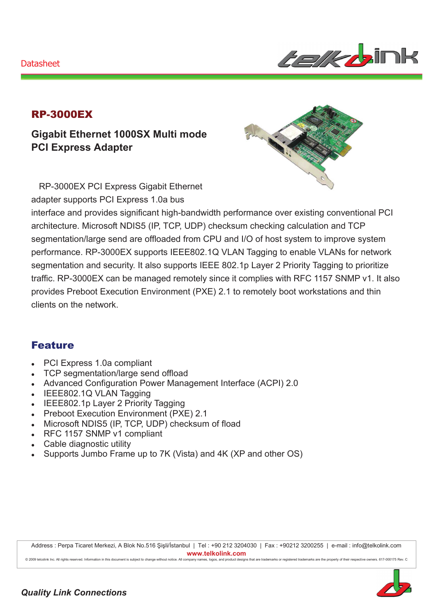#### Datasheet



## RP-3000EX

**Gigabit Ethernet 1000SX Multi mode PCI Express Adapter** 

RP-3000EX PCI Express Gigabit Ethernet adapter supports PCI Express 1.0a bus

interface and provides significant high-bandwidth performance over existing conventional PCI architecture. Microsoft NDIS5 (IP, TCP, UDP) checksum checking calculation and TCP segmentation/large send are offloaded from CPU and I/O of host system to improve system performance. RP-3000EX supports IEEE802.1Q VLAN Tagging to enable VLANs for network segmentation and security. It also supports IEEE 802.1p Layer 2 Priority Tagging to prioritize traffic. RP-3000EX can be managed remotely since it complies with RFC 1157 SNMP v1. It also provides Preboot Execution Environment (PXE) 2.1 to remotely boot workstations and thin clients on the network.

### Feature

- PCI Express 1.0a compliant
- TCP segmentation/large send offload
- Advanced Configuration Power Management Interface (ACPI) 2.0
- IEEE802.1Q VLAN Tagging
- IEEE802.1p Layer 2 Priority Tagging
- **Preboot Execution Environment (PXE) 2.1**
- Microsoft NDIS5 (IP, TCP, UDP) checksum of fload
- RFC 1157 SNMP v1 compliant
- Cable diagnostic utility
- Supports Jumbo Frame up to 7K (Vista) and 4K (XP and other OS)

Address : Perpa Ticaret Merkezi, A Blok No.516 Şişli/İstanbul | Tel : +90 212 3204030 | Fax : +90212 3200255 | e-mail : info@telkolink.com  $www.telkolink.com$ 

@ 2009 telcolink Inc. All rights reserved. Information in this document is subject to change without notice. All company names, logos, and product designs that are trademarks or registered trademarks are the property of th